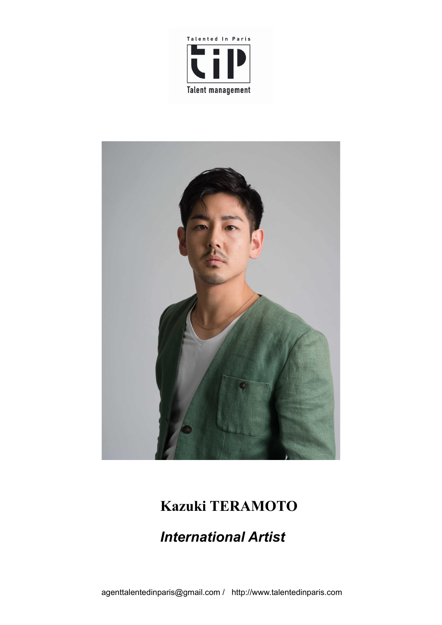



# **Kazuki TERAMOTO**

## *International Artist*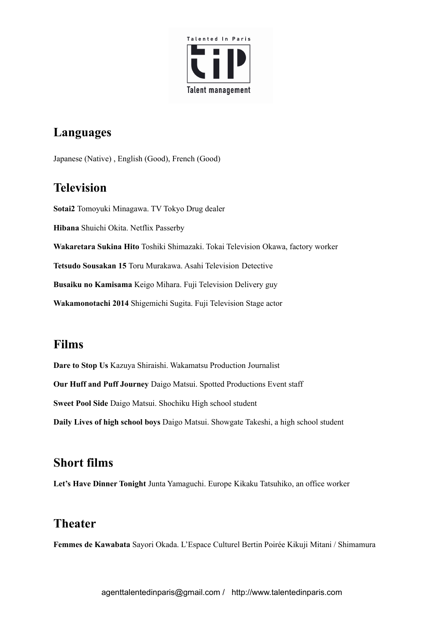

#### **Languages**

Japanese (Native) , English (Good), French (Good)

#### **Television**

**Sotai2** Tomoyuki Minagawa. TV Tokyo Drug dealer **Hibana** Shuichi Okita. Netflix Passerby **Wakaretara Sukina Hito** Toshiki Shimazaki. Tokai Television Okawa, factory worker **Tetsudo Sousakan 15** Toru Murakawa. Asahi Television Detective **Busaiku no Kamisama** Keigo Mihara. Fuji Television Delivery guy **Wakamonotachi 2014** Shigemichi Sugita. Fuji Television Stage actor

#### **Films**

**Dare to Stop Us** Kazuya Shiraishi. Wakamatsu Production Journalist **Our Huff and Puff Journey** Daigo Matsui. Spotted Productions Event staff **Sweet Pool Side** Daigo Matsui. Shochiku High school student **Daily Lives of high school boys** Daigo Matsui. Showgate Takeshi, a high school student

#### **Short films**

**Let's Have Dinner Tonight** Junta Yamaguchi. Europe Kikaku Tatsuhiko, an office worker

#### **Theater**

**Femmes de Kawabata** Sayori Okada. L'Espace Culturel Bertin Poirée Kikuji Mitani / Shimamura